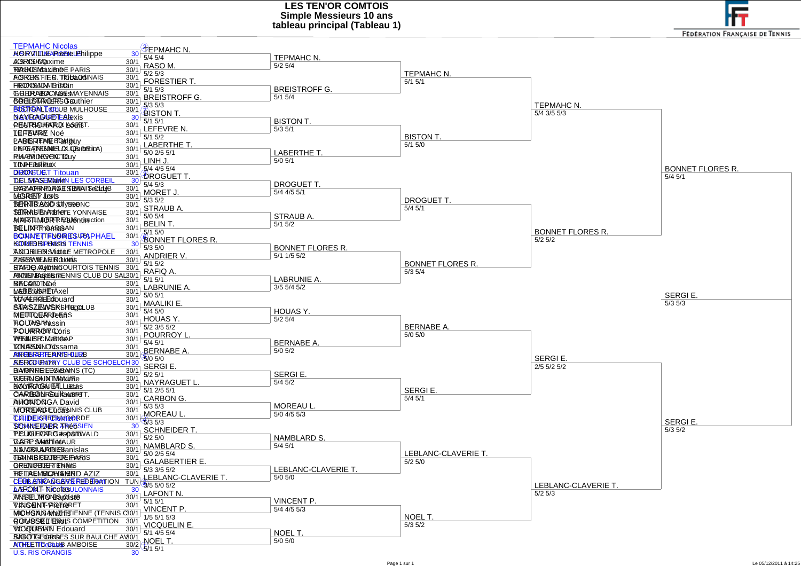**LES TEN'OR COMTOIS Simple Messieurs 10 anstableau principal (Tableau 1)**

**FEDERATION FRANÇAISE DE TENNIS** 

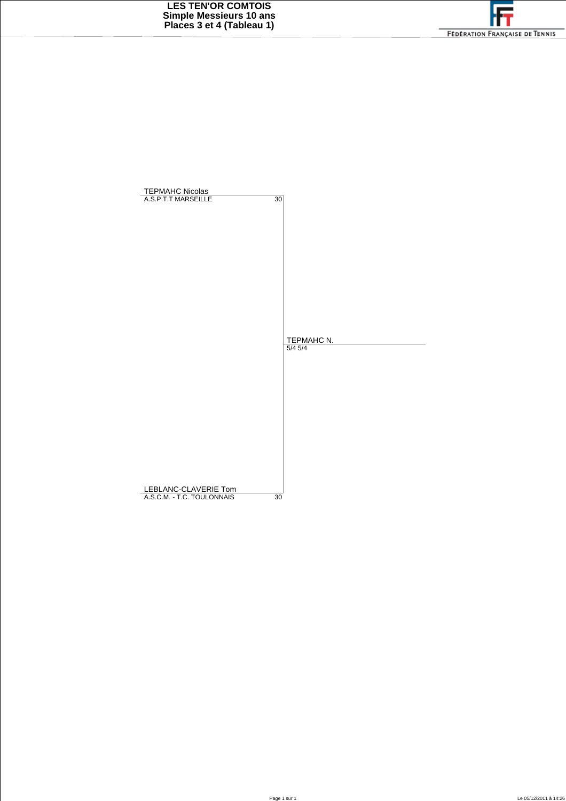

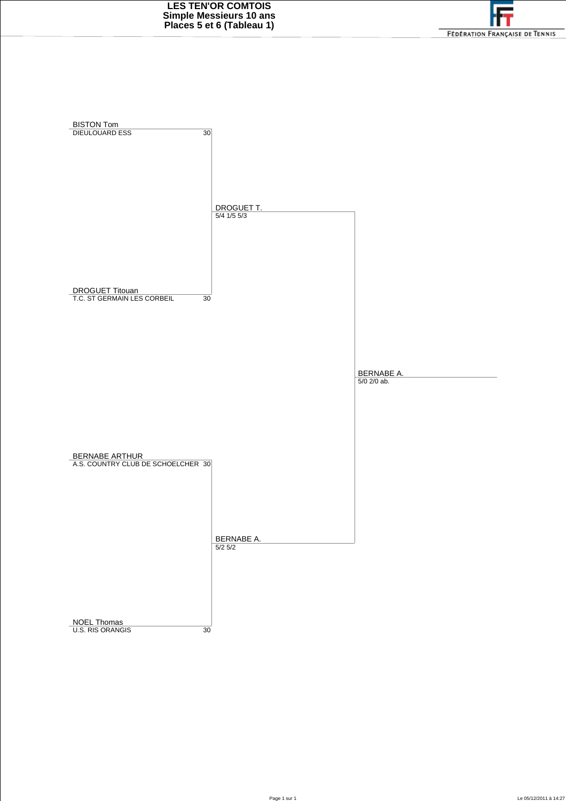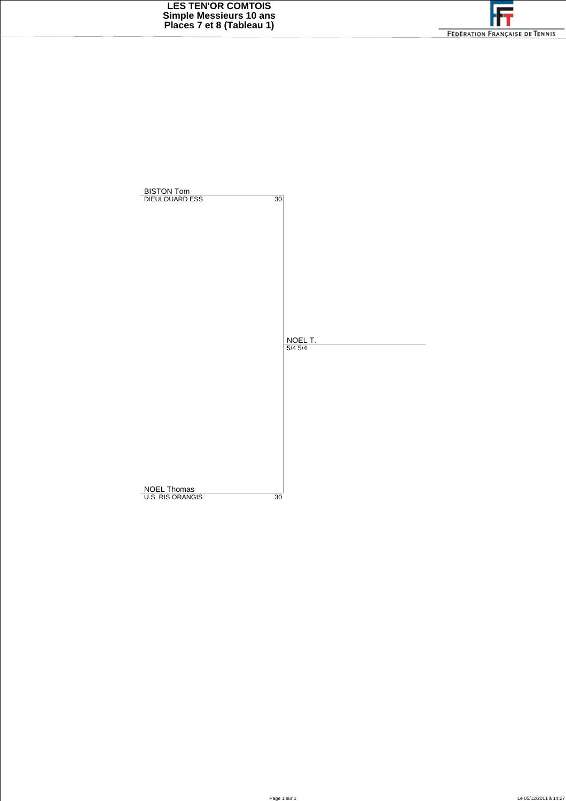

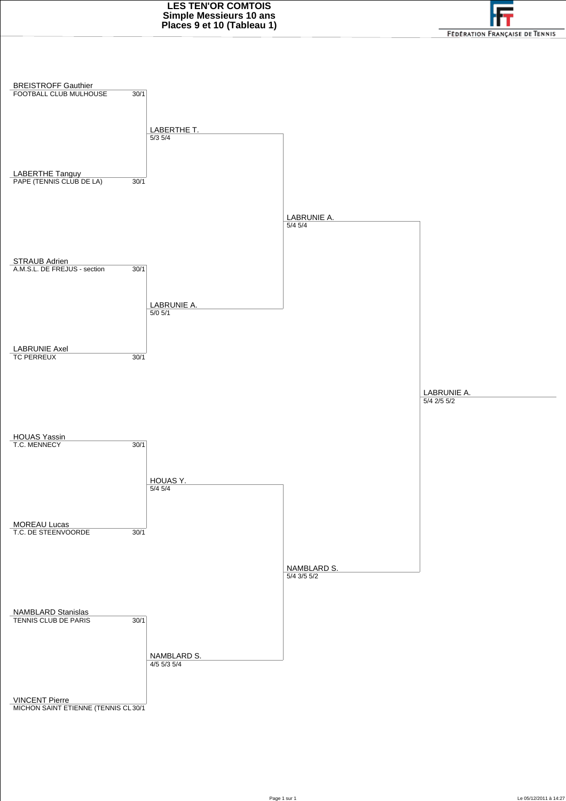

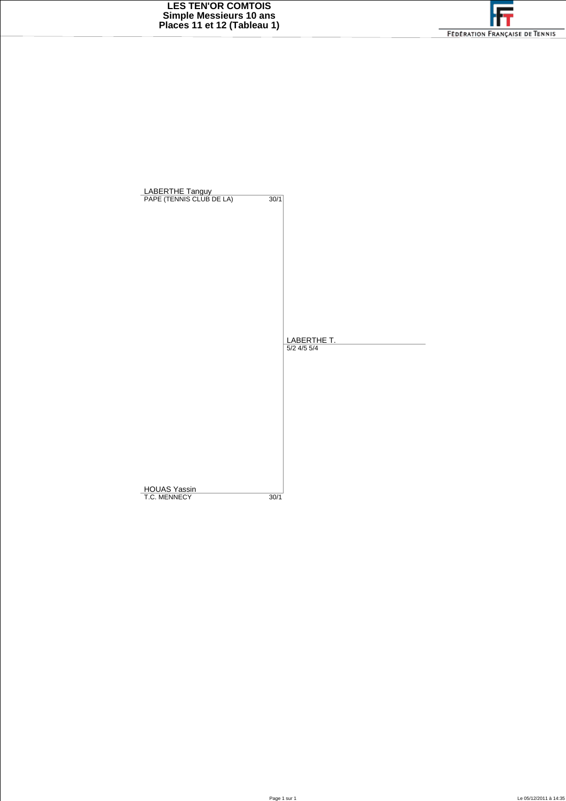

| LABERTHE Tanguy<br>PAPE (TENNIS CLUB DE LA)<br>30/1 |
|-----------------------------------------------------|
|                                                     |
|                                                     |
|                                                     |
|                                                     |
|                                                     |
|                                                     |
|                                                     |
|                                                     |
|                                                     |
|                                                     |
|                                                     |
|                                                     |
|                                                     |
| LABERTHE T.                                         |
| $5/2$ 4/5 $5/4$                                     |
|                                                     |
|                                                     |
|                                                     |
|                                                     |
|                                                     |
|                                                     |
|                                                     |
|                                                     |
|                                                     |
|                                                     |
|                                                     |
|                                                     |
| <b>HOUAS Yassin</b>                                 |
| T.C. MENNECY<br>30/1                                |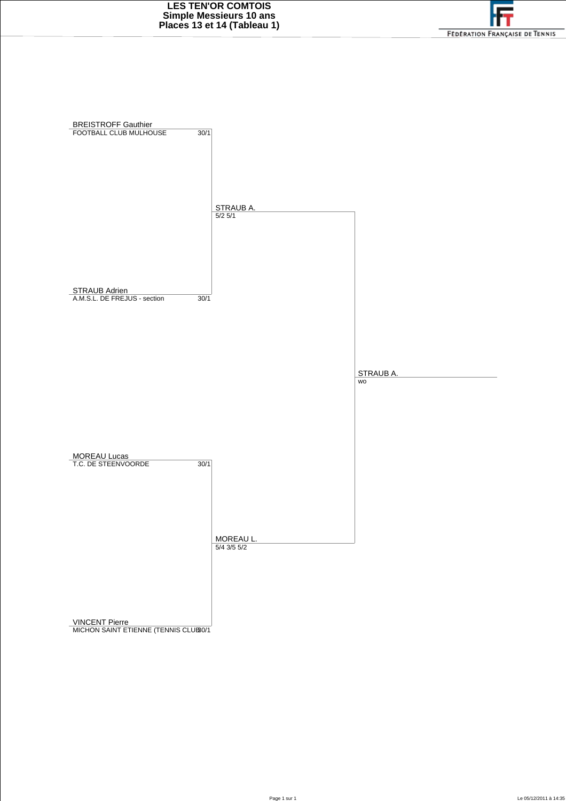

VINCENT Pierre<br>MICHON SAINT ETIENNE (TENNIS CLUB30/1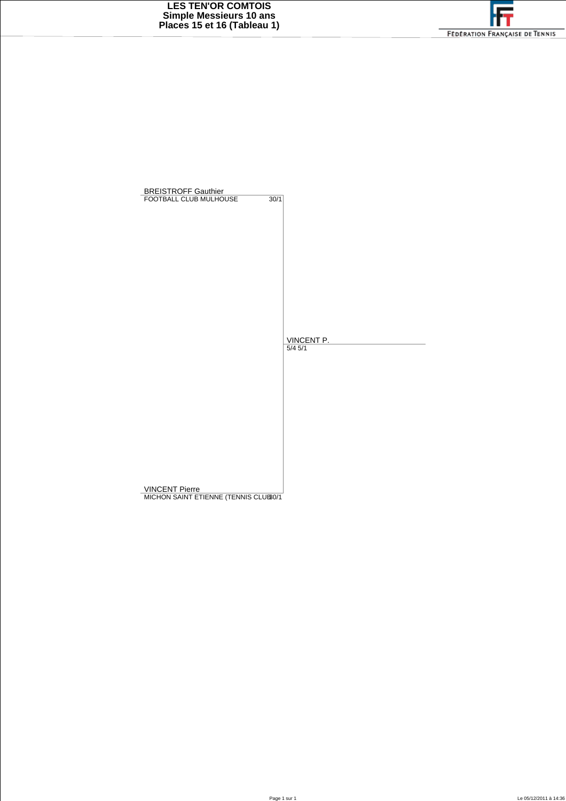BREISTROFF Gauthier<br>FOOTBALL CLUB MULHOUSE 30/1 <u>VINCENT P.</u><br>5/4 5/1

VINCENT Pierre<br>MICHON SAINT ETIENNE (TENNIS CLUB0/1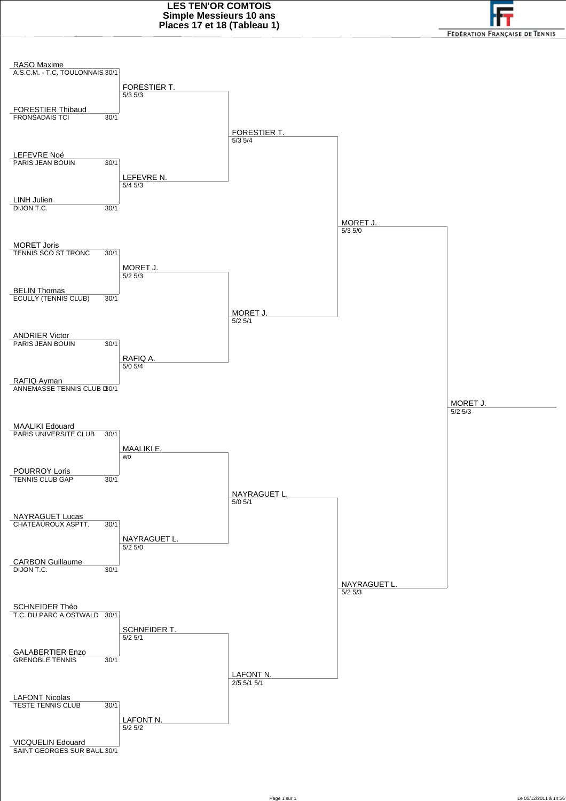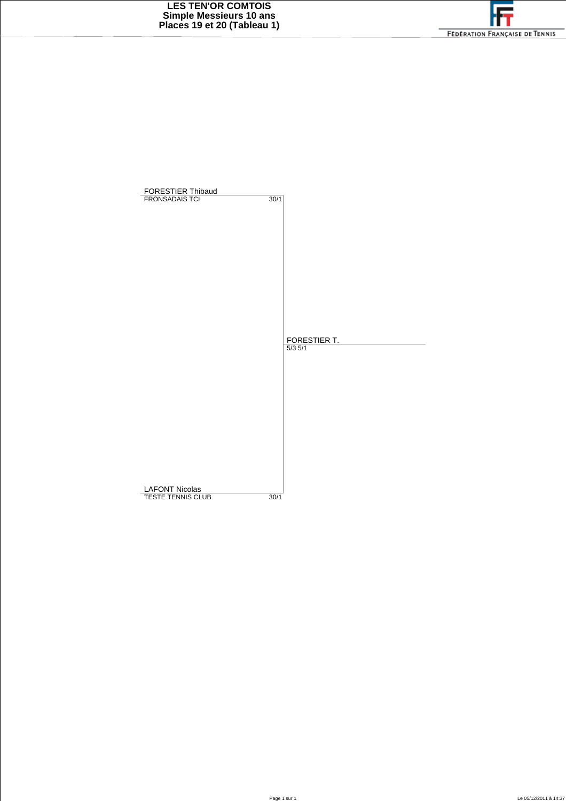

| FORESTIER Thibaud     |                             |
|-----------------------|-----------------------------|
| <b>FRONSADAIS TCI</b> | $\overline{30/1}$           |
|                       |                             |
|                       |                             |
|                       |                             |
|                       |                             |
|                       |                             |
|                       |                             |
|                       |                             |
|                       |                             |
|                       |                             |
|                       |                             |
|                       | FORESTIER T.<br>$5/3$ $5/1$ |
|                       |                             |
|                       |                             |
|                       |                             |
|                       |                             |
|                       |                             |
|                       |                             |
|                       |                             |
|                       |                             |
|                       |                             |
|                       |                             |
| <b>LAFONT Nicolas</b> |                             |
| TESTE TENNIS CLUB     | 30/1                        |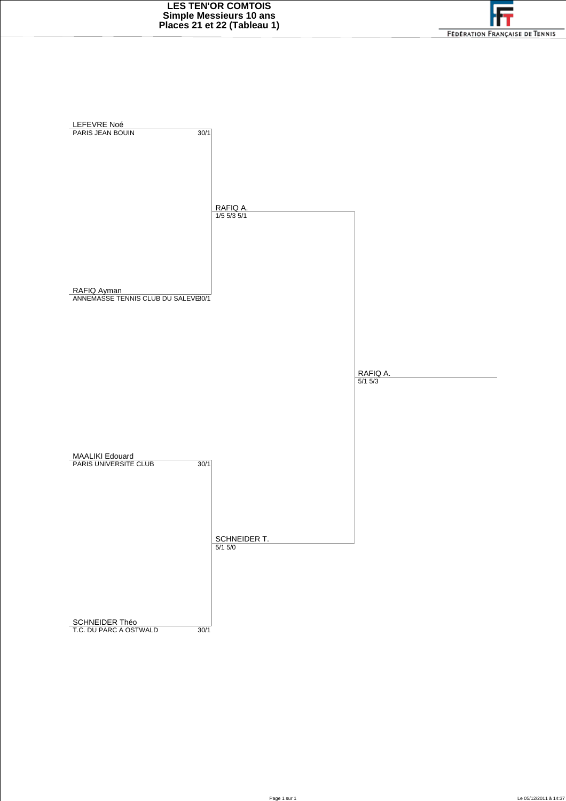

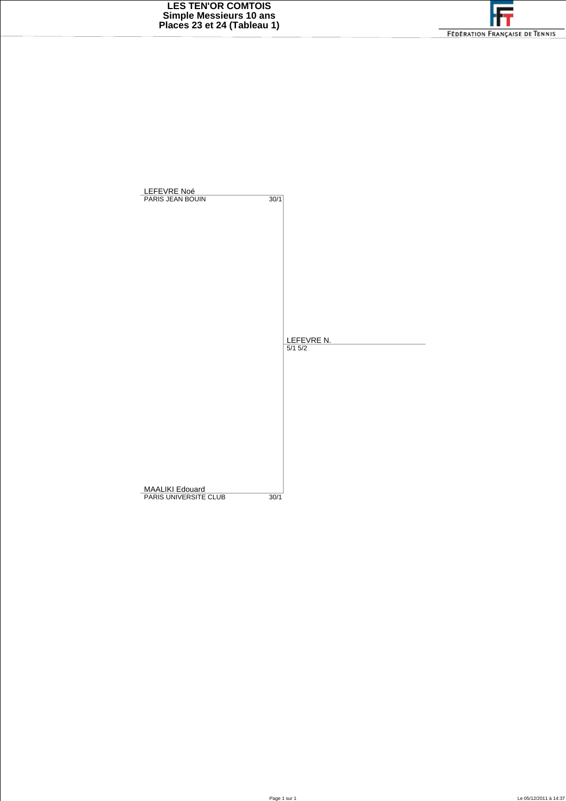

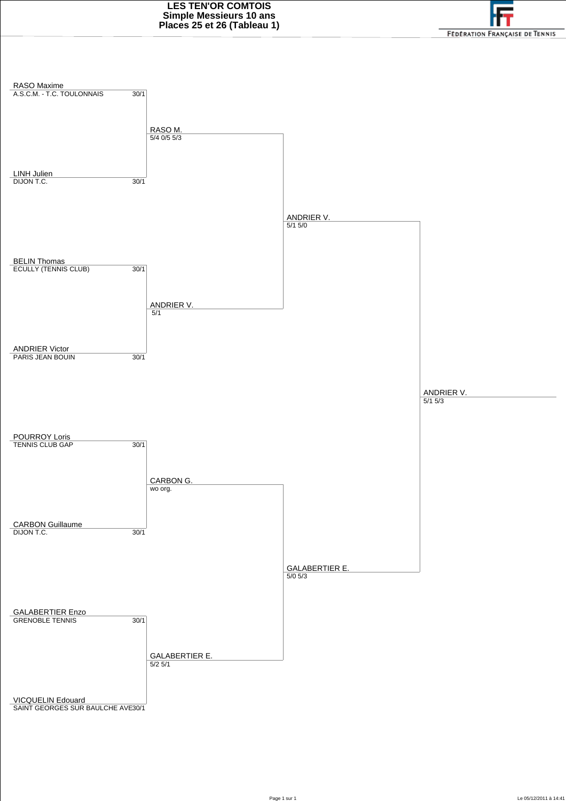

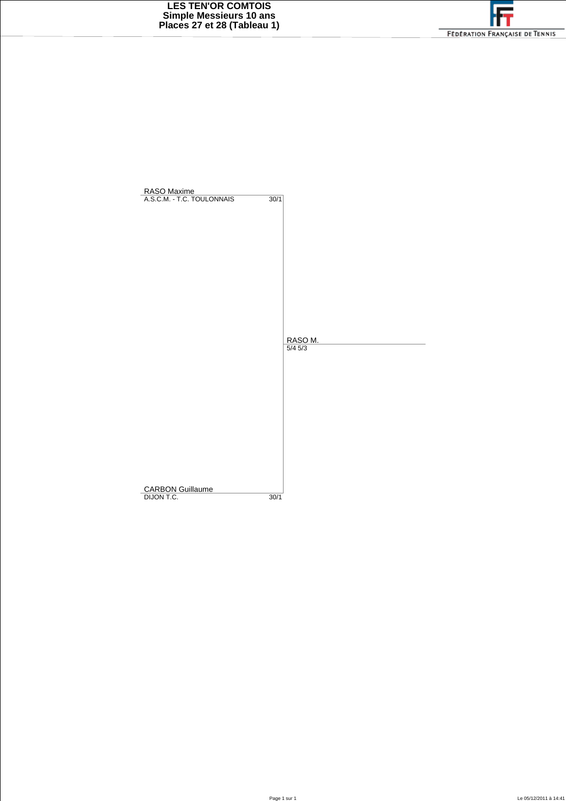

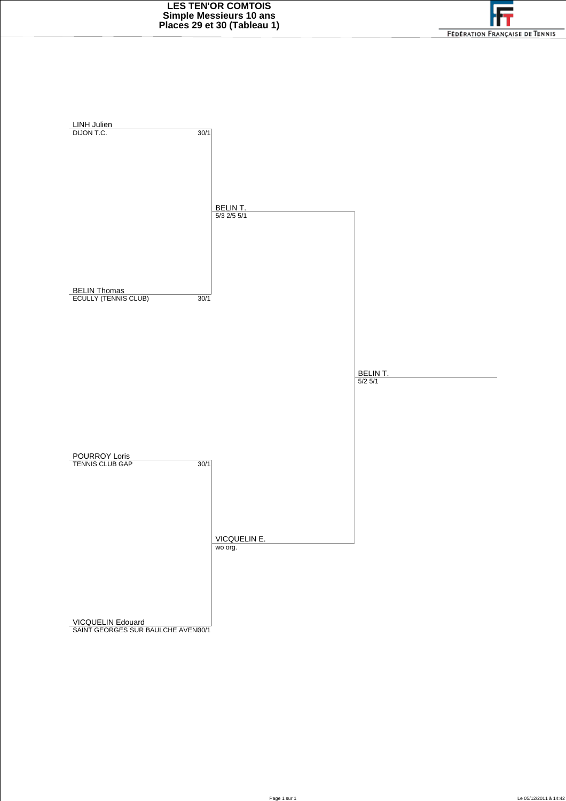

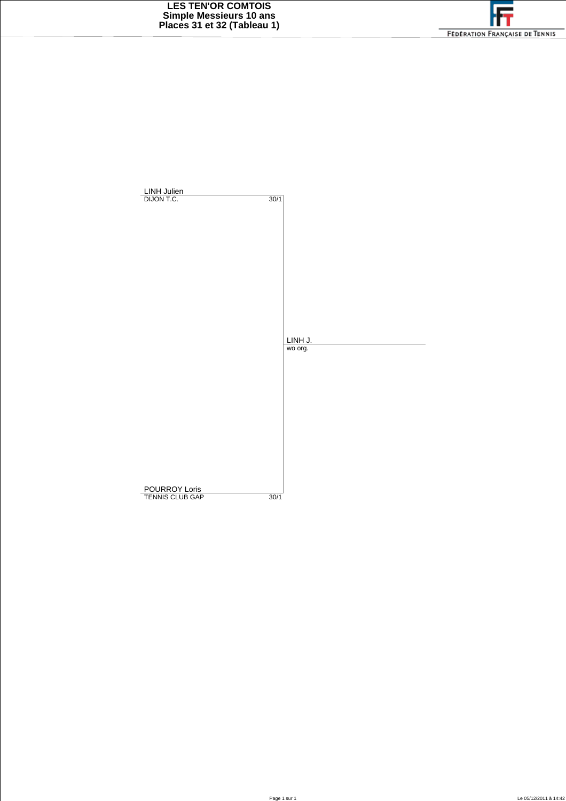

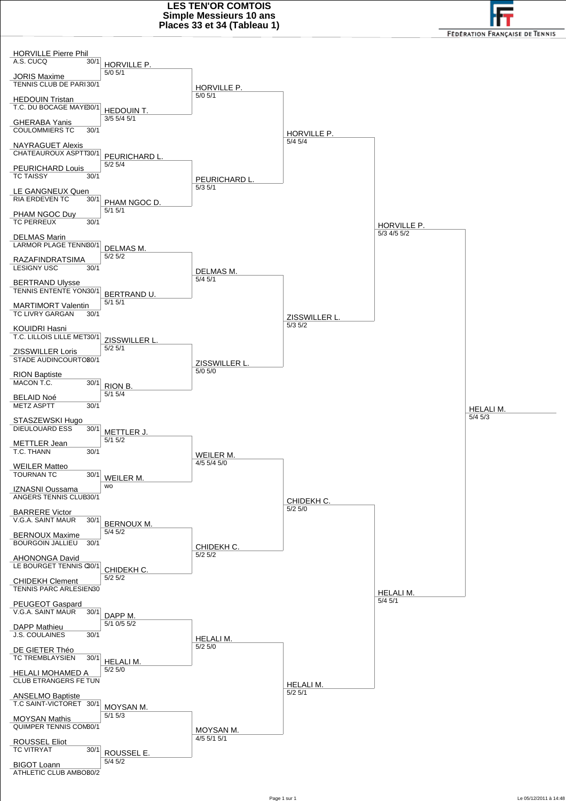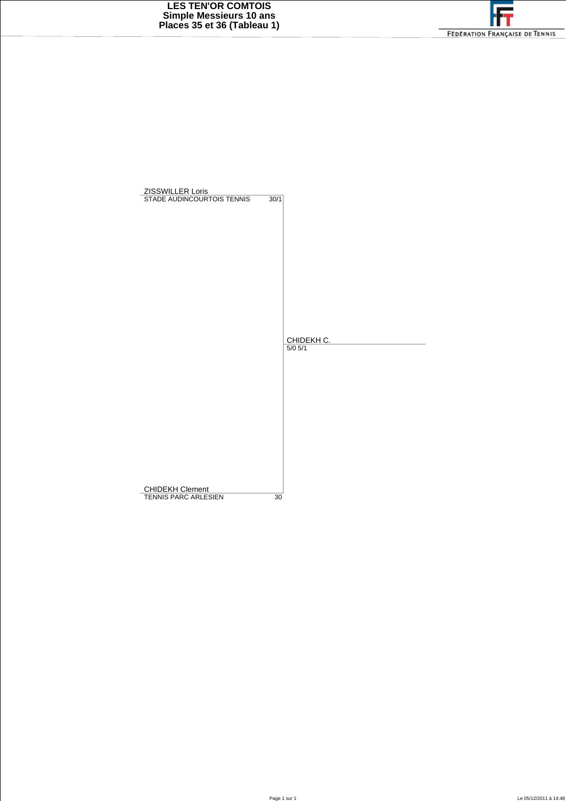

| ZISSWILLER Loris<br>STADE AUDINCOURTOIS TENNIS | 30/1 |             |
|------------------------------------------------|------|-------------|
|                                                |      |             |
|                                                |      |             |
|                                                |      |             |
|                                                |      |             |
|                                                |      |             |
|                                                |      |             |
|                                                |      |             |
|                                                |      |             |
|                                                |      | CHIDEKH C.  |
|                                                |      | $5/0$ $5/1$ |
|                                                |      |             |
|                                                |      |             |
|                                                |      |             |
|                                                |      |             |
|                                                |      |             |
|                                                |      |             |
|                                                |      |             |
|                                                |      |             |
| <b>CHIDEKH Clement</b><br>TENNIS PARC ARLESIEN | 30   |             |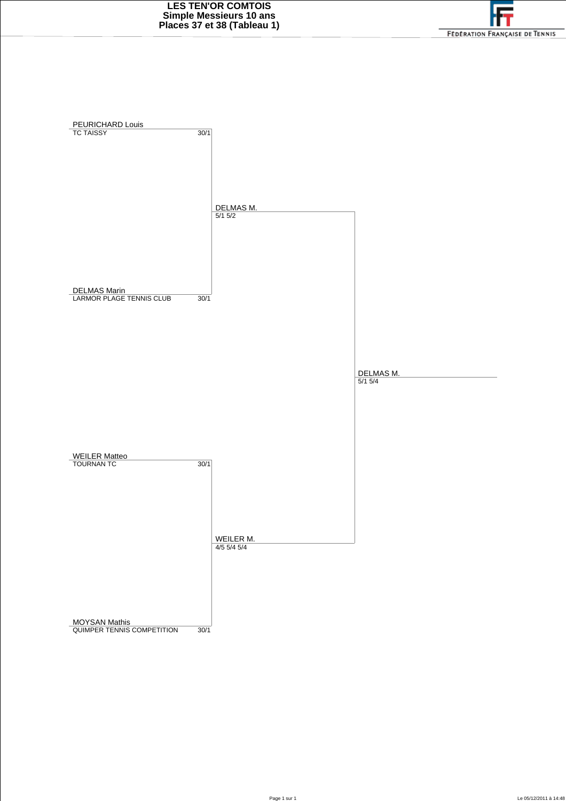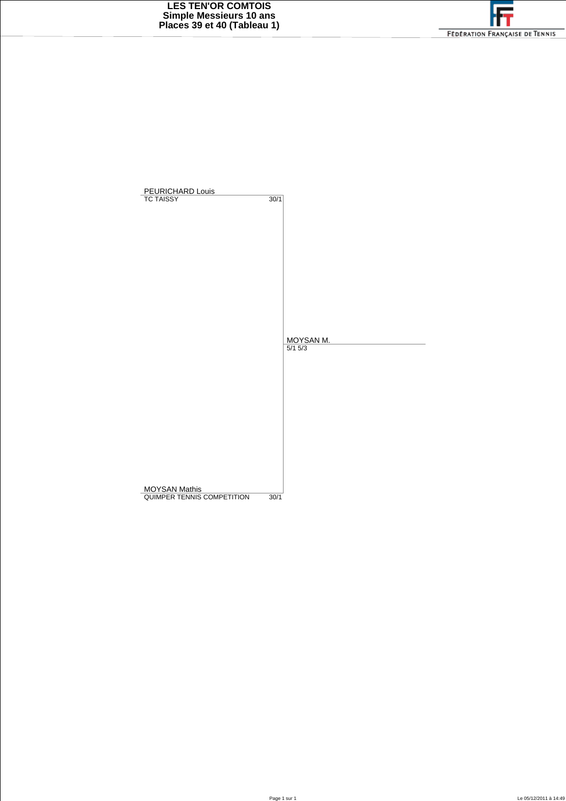

| PEURICHARD Louis<br><b>TC TAISSY</b> | 30/1        |  |
|--------------------------------------|-------------|--|
|                                      |             |  |
|                                      |             |  |
|                                      |             |  |
|                                      |             |  |
|                                      |             |  |
|                                      |             |  |
|                                      |             |  |
|                                      | MOYSAN M.   |  |
|                                      | $5/1$ $5/3$ |  |
|                                      |             |  |
|                                      |             |  |
|                                      |             |  |
|                                      |             |  |
|                                      |             |  |
|                                      |             |  |
| <b>MOYSAN Mathis</b>                 |             |  |
| QUIMPER TENNIS COMPETITION           | 30/1        |  |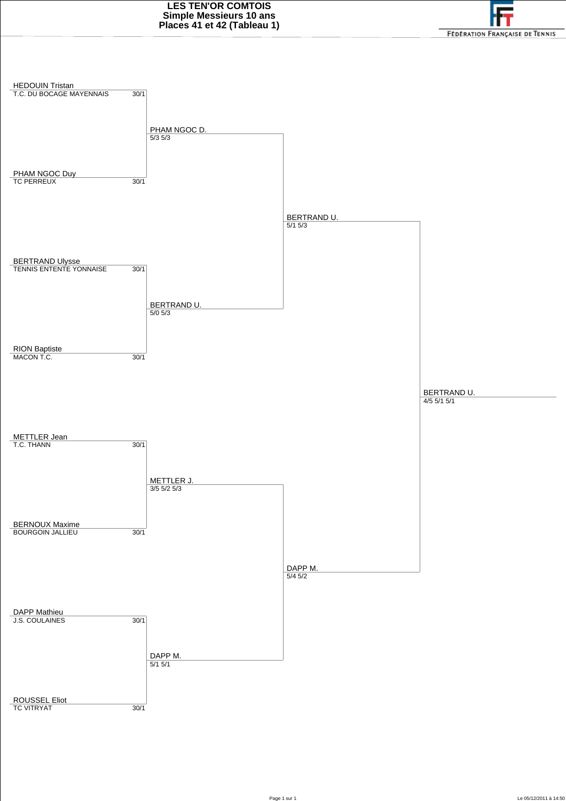

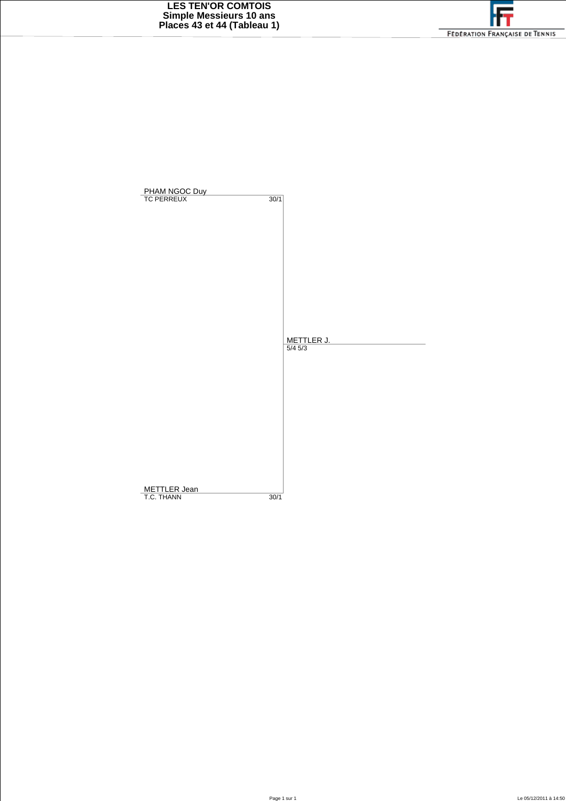

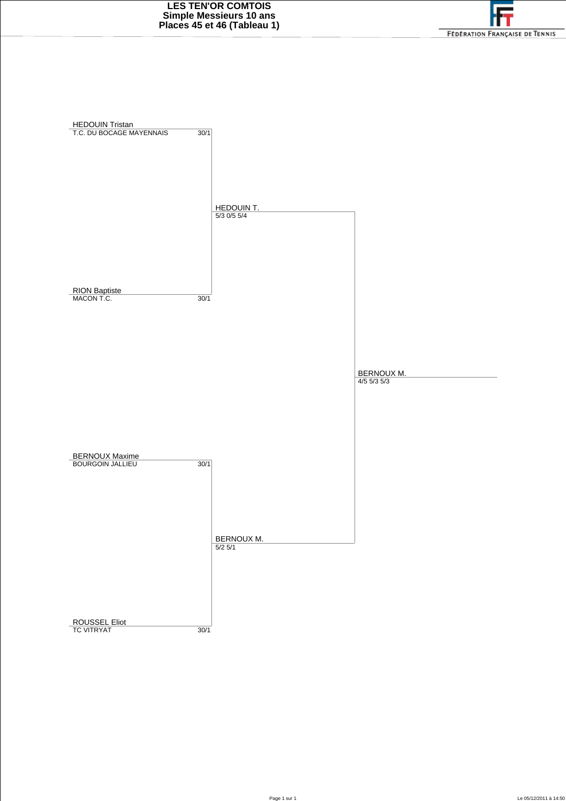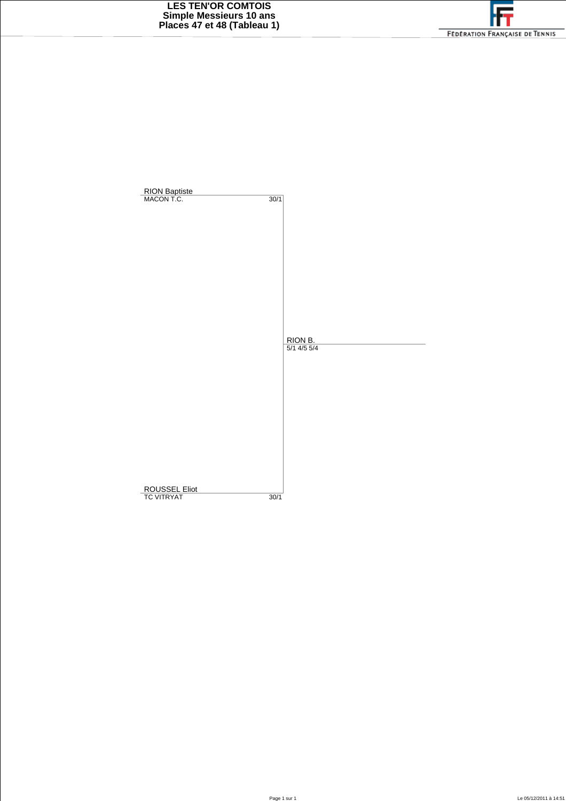

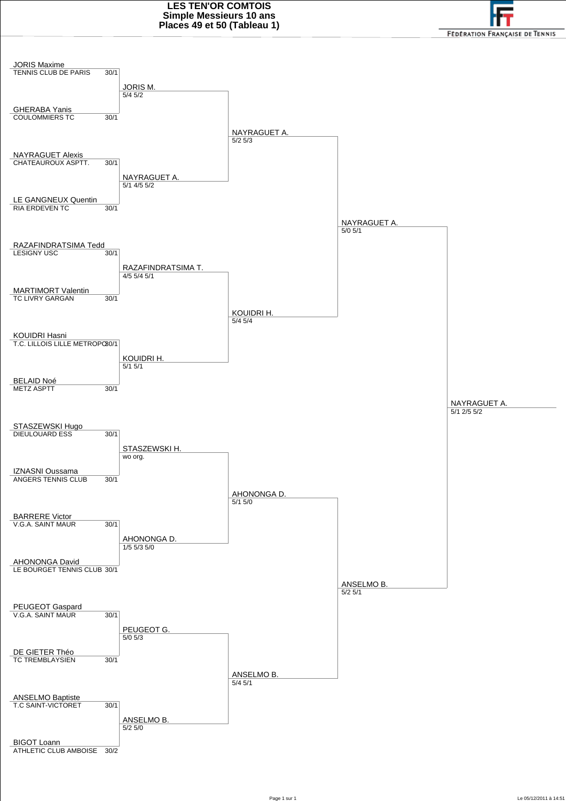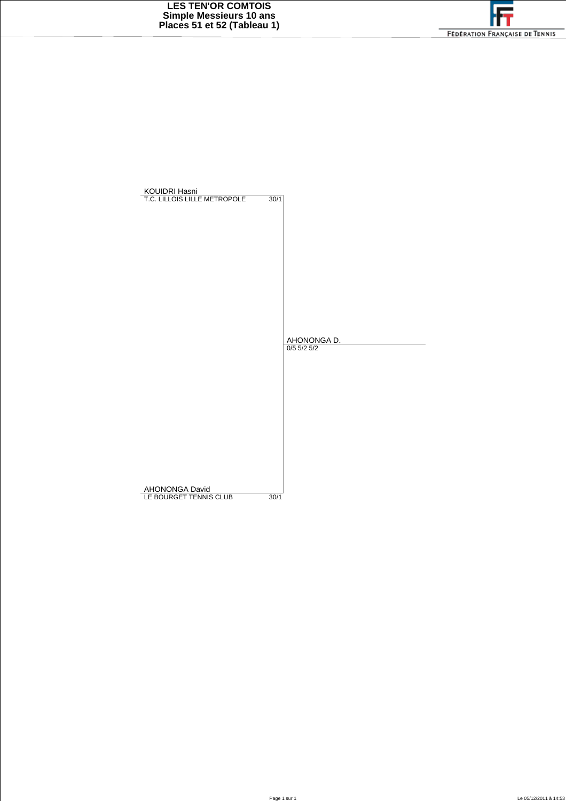

| KOUIDRI Hasni<br>T.C. LILLOIS LILLE METROPOLE | 30/1                  |
|-----------------------------------------------|-----------------------|
|                                               |                       |
|                                               |                       |
|                                               |                       |
|                                               |                       |
|                                               |                       |
|                                               |                       |
|                                               | AHONONGA D.           |
|                                               |                       |
|                                               |                       |
|                                               |                       |
|                                               |                       |
|                                               |                       |
|                                               |                       |
| AHONONGA David                                |                       |
| LE BOURGET TENNIS CLUB                        | $0/5$ 5/2 5/2<br>30/1 |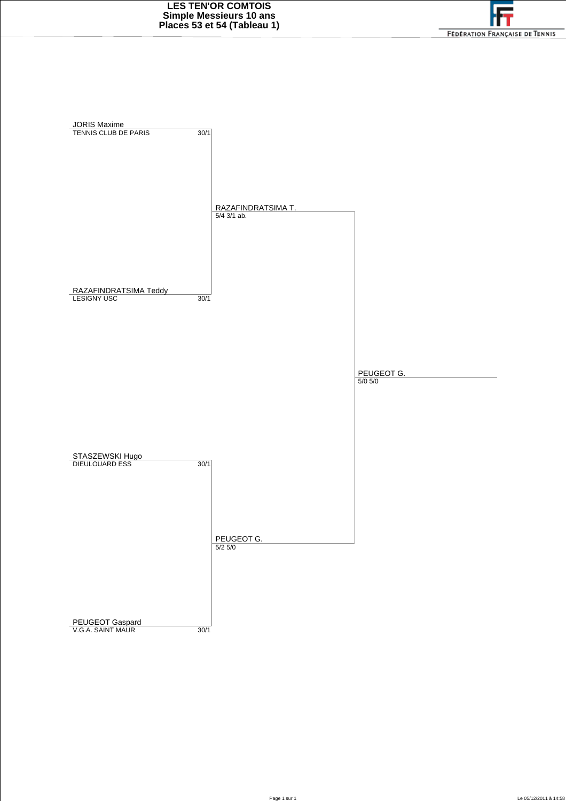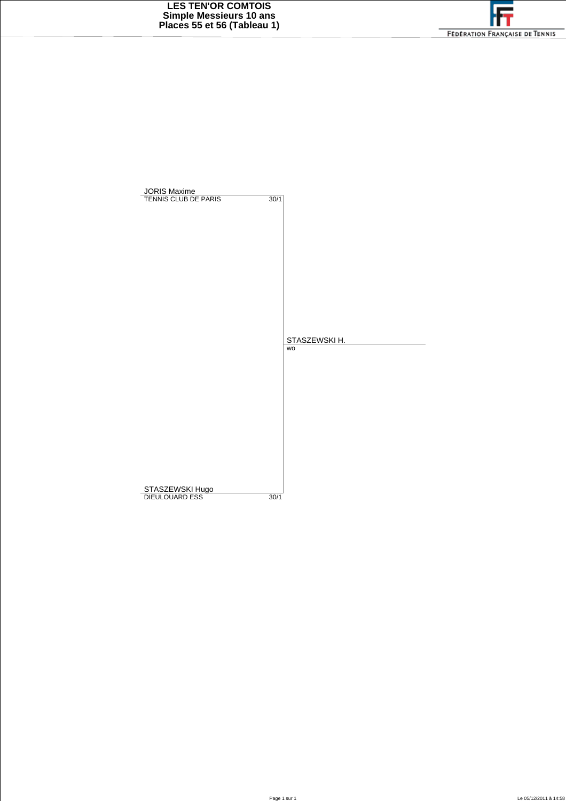

| STASZEWSKI H.<br><b>WO</b><br>STASZEWSKI Hugo<br>DIEULOUARD ESS<br>30/1 | <b>JORIS Maxime</b><br>TENNIS CLUB DE PARIS |      |  |
|-------------------------------------------------------------------------|---------------------------------------------|------|--|
|                                                                         |                                             | 30/1 |  |
|                                                                         |                                             |      |  |
|                                                                         |                                             |      |  |
|                                                                         |                                             |      |  |
|                                                                         |                                             |      |  |
|                                                                         |                                             |      |  |
|                                                                         |                                             |      |  |
|                                                                         |                                             |      |  |
|                                                                         |                                             |      |  |
|                                                                         |                                             |      |  |
|                                                                         |                                             |      |  |
|                                                                         |                                             |      |  |
|                                                                         |                                             |      |  |
|                                                                         |                                             |      |  |
|                                                                         |                                             |      |  |
|                                                                         |                                             |      |  |
|                                                                         |                                             |      |  |
|                                                                         |                                             |      |  |
|                                                                         |                                             |      |  |
|                                                                         |                                             |      |  |
|                                                                         |                                             |      |  |
|                                                                         |                                             |      |  |
|                                                                         |                                             |      |  |
|                                                                         |                                             |      |  |
|                                                                         |                                             |      |  |
|                                                                         |                                             |      |  |
|                                                                         |                                             |      |  |
|                                                                         |                                             |      |  |
|                                                                         |                                             |      |  |
|                                                                         |                                             |      |  |
|                                                                         |                                             |      |  |
|                                                                         |                                             |      |  |
|                                                                         |                                             |      |  |
|                                                                         |                                             |      |  |
|                                                                         |                                             |      |  |
|                                                                         |                                             |      |  |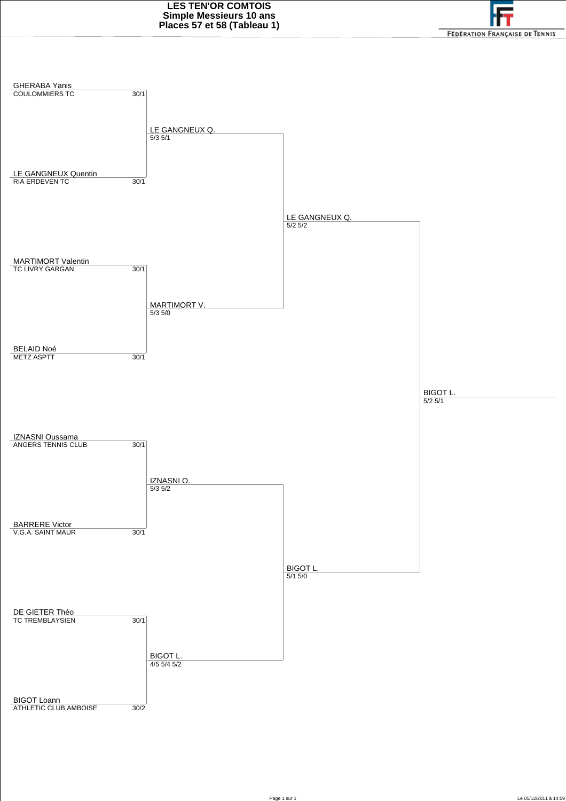

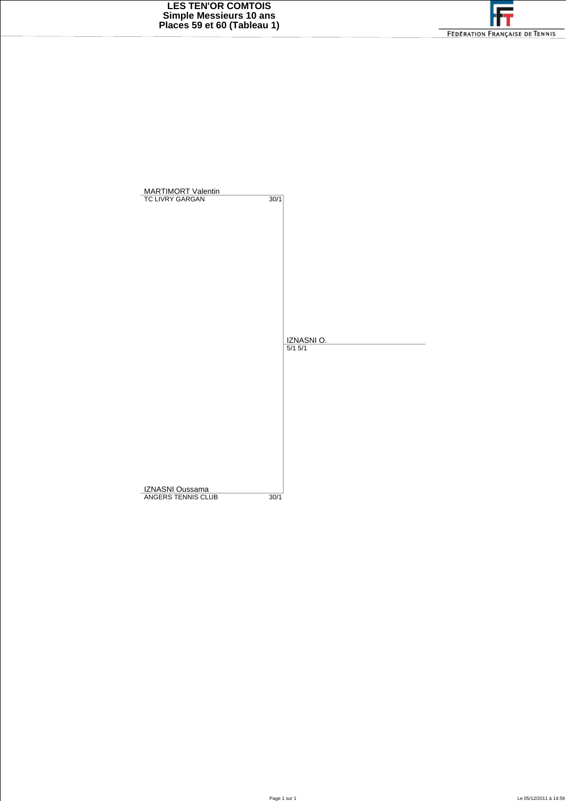

| <b>MARTIMORT Valentin</b><br><b>TC LIVRY GARGAN</b> | 30/1 |             |
|-----------------------------------------------------|------|-------------|
|                                                     |      |             |
|                                                     |      |             |
|                                                     |      |             |
|                                                     |      |             |
|                                                     |      |             |
|                                                     |      |             |
|                                                     |      |             |
|                                                     |      |             |
|                                                     |      | IZNASNI O.  |
|                                                     |      | $5/1$ $5/1$ |
|                                                     |      |             |
|                                                     |      |             |
|                                                     |      |             |
|                                                     |      |             |
|                                                     |      |             |
|                                                     |      |             |
|                                                     |      |             |
|                                                     |      |             |
| IZNASNI Oussama                                     |      |             |
| ANGERS TENNIS CLUB                                  | 30/1 |             |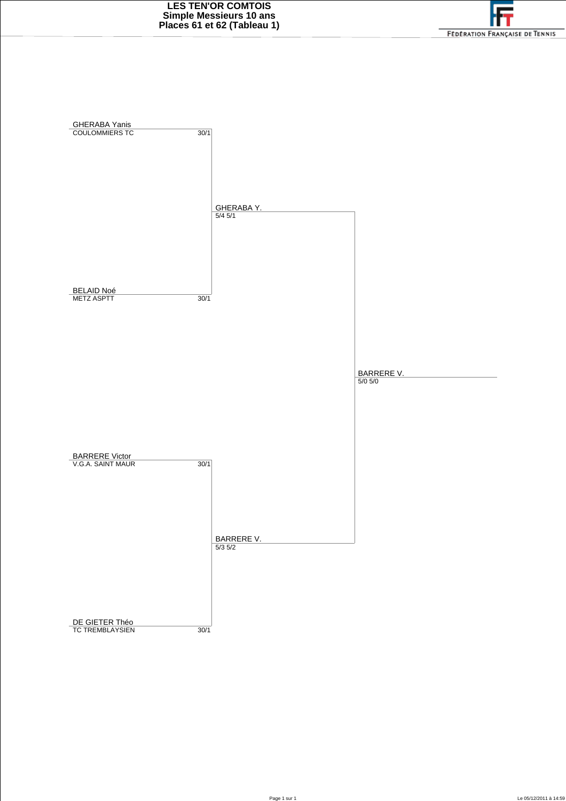